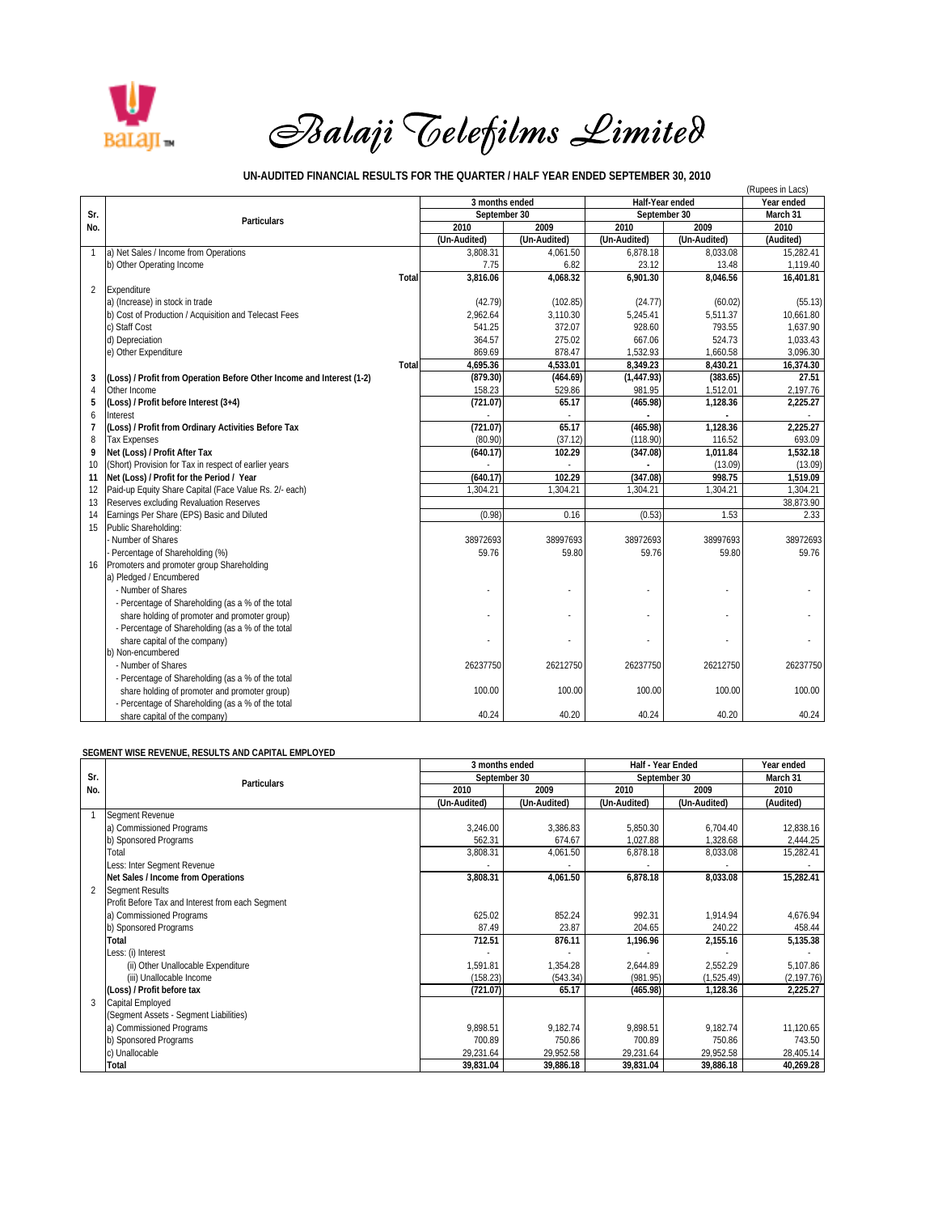

## *Balaji Telefilms Limited*

## **UN-AUDITED FINANCIAL RESULTS FOR THE QUARTER / HALF YEAR ENDED SEPTEMBER 30, 2010**

| UN-AUDITED FINANCIAL RESULTS FOR THE QUARTER / HALF YEAR ENDED SEPTEMBER 30, 2010<br>(Rupees in Lacs) |                                                                       |       |                |              |                 |              |            |
|-------------------------------------------------------------------------------------------------------|-----------------------------------------------------------------------|-------|----------------|--------------|-----------------|--------------|------------|
|                                                                                                       | <b>Particulars</b>                                                    |       | 3 months ended |              | Half-Year ended |              | Year ended |
| Sr.                                                                                                   |                                                                       |       | September 30   |              | September 30    |              | March 31   |
| No.                                                                                                   |                                                                       |       | 2010           | 2009         | 2010            | 2009         | 2010       |
|                                                                                                       |                                                                       |       | (Un-Audited)   | (Un-Audited) | (Un-Audited)    | (Un-Audited) | (Audited)  |
| 1                                                                                                     | a) Net Sales / Income from Operations                                 |       | 3,808.31       | 4.061.50     | 6,878.18        | 8,033.08     | 15,282.41  |
|                                                                                                       | b) Other Operating Income                                             |       | 7.75           | 6.82         | 23.12           | 13.48        | 1,119.40   |
|                                                                                                       |                                                                       | Total | 3,816.06       | 4,068.32     | 6,901.30        | 8,046.56     | 16,401.81  |
| 2                                                                                                     | Expenditure                                                           |       |                |              |                 |              |            |
|                                                                                                       | a) (Increase) in stock in trade                                       |       | (42.79)        | (102.85)     | (24.77)         | (60.02)      | (55.13)    |
|                                                                                                       | b) Cost of Production / Acquisition and Telecast Fees                 |       | 2,962.64       | 3,110.30     | 5,245.41        | 5,511.37     | 10,661.80  |
|                                                                                                       | c) Staff Cost                                                         |       | 541.25         | 372.07       | 928.60          | 793.55       | 1.637.90   |
|                                                                                                       | d) Depreciation                                                       |       | 364.57         | 275.02       | 667.06          | 524.73       | 1,033.43   |
|                                                                                                       | e) Other Expenditure                                                  |       | 869.69         | 878.47       | 1,532.93        | 1,660.58     | 3.096.30   |
|                                                                                                       |                                                                       | Total | 4,695.36       | 4,533.01     | 8,349.23        | 8,430.21     | 16,374.30  |
| 3                                                                                                     | (Loss) / Profit from Operation Before Other Income and Interest (1-2) |       | (879.30)       | (464.69)     | (1,447.93)      | (383.65)     | 27.51      |
| 4                                                                                                     | Other Income                                                          |       | 158.23         | 529.86       | 981.95          | 1,512.01     | 2,197.76   |
| 5                                                                                                     | (Loss) / Profit before Interest (3+4)                                 |       | (721.07)       | 65.17        | (465.98)        | 1,128.36     | 2,225.27   |
| 6                                                                                                     | Interest                                                              |       |                |              |                 |              |            |
| $\overline{1}$                                                                                        | (Loss) / Profit from Ordinary Activities Before Tax                   |       | (721.07)       | 65.17        | (465.98)        | 1,128.36     | 2.225.27   |
| 8                                                                                                     | <b>Tax Expenses</b>                                                   |       | (80.90)        | (37.12)      | (118.90)        | 116.52       | 693.09     |
| 9                                                                                                     | Net (Loss) / Profit After Tax                                         |       | (640.17)       | 102.29       | (347.08)        | 1,011.84     | 1,532.18   |
| 10                                                                                                    | (Short) Provision for Tax in respect of earlier years                 |       |                |              |                 | (13.09)      | (13.09)    |
| 11                                                                                                    | Net (Loss) / Profit for the Period / Year                             |       | (640.17)       | 102.29       | (347.08)        | 998.75       | 1,519.09   |
| 12                                                                                                    | Paid-up Equity Share Capital (Face Value Rs. 2/- each)                |       | 1,304.21       | 1,304.21     | 1,304.21        | 1,304.21     | 1,304.21   |
| 13                                                                                                    | Reserves excluding Revaluation Reserves                               |       |                |              |                 |              | 38,873.90  |
| 14                                                                                                    | Earnings Per Share (EPS) Basic and Diluted                            |       | (0.98)         | 0.16         | (0.53)          | 1.53         | 2.33       |
| 15                                                                                                    | Public Shareholding:                                                  |       |                |              |                 |              |            |
|                                                                                                       | Number of Shares                                                      |       | 38972693       | 38997693     | 38972693        | 38997693     | 38972693   |
|                                                                                                       | Percentage of Shareholding (%)                                        |       | 59.76          | 59.80        | 59.76           | 59.80        | 59.76      |
| 16                                                                                                    | Promoters and promoter group Shareholding                             |       |                |              |                 |              |            |
|                                                                                                       | a) Pledged / Encumbered                                               |       |                |              |                 |              |            |
|                                                                                                       | - Number of Shares                                                    |       |                |              |                 |              |            |
|                                                                                                       | - Percentage of Shareholding (as a % of the total                     |       |                |              |                 |              |            |
|                                                                                                       | share holding of promoter and promoter group)                         |       |                |              |                 |              |            |
|                                                                                                       | - Percentage of Shareholding (as a % of the total                     |       |                |              |                 |              |            |
|                                                                                                       | share capital of the company)                                         |       |                |              |                 |              |            |
|                                                                                                       | b) Non-encumbered                                                     |       |                |              |                 |              |            |
|                                                                                                       | - Number of Shares                                                    |       | 26237750       | 26212750     | 26237750        | 26212750     | 26237750   |
|                                                                                                       | - Percentage of Shareholding (as a % of the total                     |       |                |              |                 |              |            |
|                                                                                                       | share holding of promoter and promoter group)                         |       | 100.00         | 100.00       | 100.00          | 100.00       | 100.00     |
|                                                                                                       | - Percentage of Shareholding (as a % of the total                     |       |                |              |                 |              |            |
|                                                                                                       | share capital of the company)                                         |       | 40.24          | 40.20        | 40.24           | 40.20        | 40.24      |

## **SEGMENT WISE REVENUE, RESULTS AND CAPITAL EMPLOYED**

|               | Particulars                                      | 3 months ended |              | Half - Year Ended |              | Year ended  |
|---------------|--------------------------------------------------|----------------|--------------|-------------------|--------------|-------------|
| Sr.           |                                                  | September 30   |              | September 30      |              | March 31    |
| No.           |                                                  | 2010           | 2009         | 2010              | 2009         | 2010        |
|               |                                                  | (Un-Audited)   | (Un-Audited) | (Un-Audited)      | (Un-Audited) | (Audited)   |
|               | Segment Revenue                                  |                |              |                   |              |             |
|               | a) Commissioned Programs                         | 3,246.00       | 3,386.83     | 5,850.30          | 6.704.40     | 12,838.16   |
|               | b) Sponsored Programs                            | 562.31         | 674.67       | 1,027.88          | 1,328.68     | 2,444.25    |
|               | Total                                            | 3,808.31       | 4,061.50     | 6,878.18          | 8,033.08     | 15,282.41   |
|               | Less: Inter Segment Revenue                      |                |              |                   |              |             |
|               | Net Sales / Income from Operations               | 3,808.31       | 4,061.50     | 6,878.18          | 8,033.08     | 15,282.41   |
| $\mathcal{P}$ | <b>Segment Results</b>                           |                |              |                   |              |             |
|               | Profit Before Tax and Interest from each Segment |                |              |                   |              |             |
|               | a) Commissioned Programs                         | 625.02         | 852.24       | 992.31            | 1,914.94     | 4,676.94    |
|               | b) Sponsored Programs                            | 87.49          | 23.87        | 204.65            | 240.22       | 458.44      |
|               | Total                                            | 712.51         | 876.11       | 1,196.96          | 2,155.16     | 5,135.38    |
|               | Less: (i) Interest                               |                |              |                   |              |             |
|               | (ii) Other Unallocable Expenditure               | 1,591.81       | 1,354.28     | 2,644.89          | 2,552.29     | 5,107.86    |
|               | (iii) Unallocable Income                         | (158.23)       | (543.34)     | (981.95)          | (1,525.49)   | (2, 197.76) |
|               | (Loss) / Profit before tax                       | (721.07)       | 65.17        | (465.98)          | 1,128.36     | 2,225.27    |
|               | Capital Employed                                 |                |              |                   |              |             |
|               | (Segment Assets - Segment Liabilities)           |                |              |                   |              |             |
|               | a) Commissioned Programs                         | 9.898.51       | 9,182.74     | 9.898.51          | 9,182.74     | 11,120.65   |
|               | b) Sponsored Programs                            | 700.89         | 750.86       | 700.89            | 750.86       | 743.50      |
|               | c) Unallocable                                   | 29,231.64      | 29,952.58    | 29,231.64         | 29,952.58    | 28,405.14   |
|               | Total                                            | 39,831.04      | 39,886.18    | 39,831.04         | 39,886.18    | 40,269.28   |